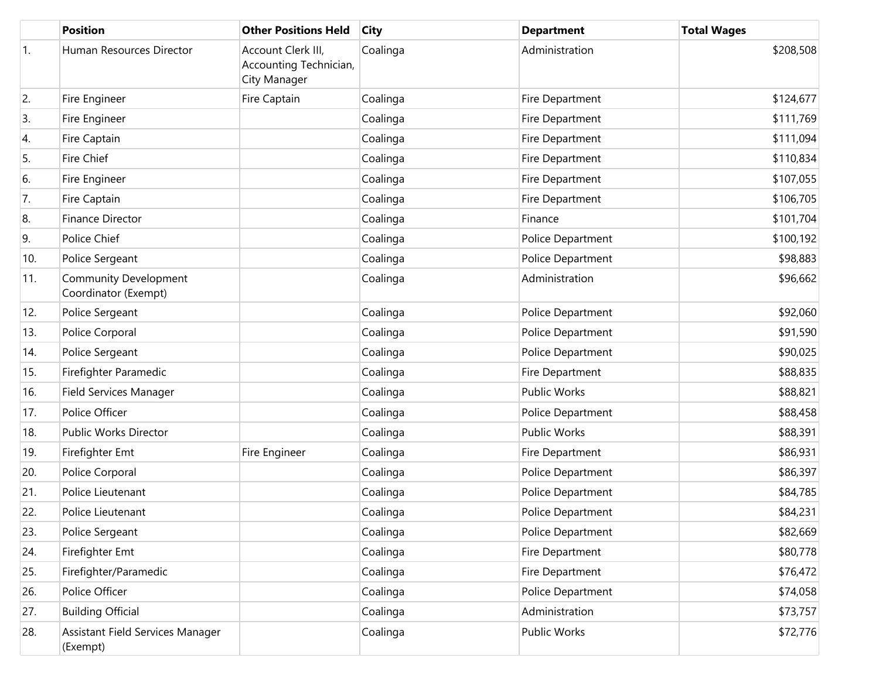|     | <b>Position</b>                                      | <b>Other Positions Held</b>                                  | <b>City</b> | <b>Department</b>   | <b>Total Wages</b> |
|-----|------------------------------------------------------|--------------------------------------------------------------|-------------|---------------------|--------------------|
| 1.  | Human Resources Director                             | Account Clerk III,<br>Accounting Technician,<br>City Manager | Coalinga    | Administration      | \$208,508          |
| 2.  | Fire Engineer                                        | Fire Captain                                                 | Coalinga    | Fire Department     | \$124,677          |
| 3.  | Fire Engineer                                        |                                                              | Coalinga    | Fire Department     | \$111,769          |
| 4.  | Fire Captain                                         |                                                              | Coalinga    | Fire Department     | \$111,094          |
| 5.  | Fire Chief                                           |                                                              | Coalinga    | Fire Department     | \$110,834          |
| 6.  | Fire Engineer                                        |                                                              | Coalinga    | Fire Department     | \$107,055          |
| 7.  | Fire Captain                                         |                                                              | Coalinga    | Fire Department     | \$106,705          |
| 8.  | Finance Director                                     |                                                              | Coalinga    | Finance             | \$101,704          |
| 9.  | Police Chief                                         |                                                              | Coalinga    | Police Department   | \$100,192          |
| 10. | Police Sergeant                                      |                                                              | Coalinga    | Police Department   | \$98,883           |
| 11. | <b>Community Development</b><br>Coordinator (Exempt) |                                                              | Coalinga    | Administration      | \$96,662           |
| 12. | Police Sergeant                                      |                                                              | Coalinga    | Police Department   | \$92,060           |
| 13. | Police Corporal                                      |                                                              | Coalinga    | Police Department   | \$91,590           |
| 14. | Police Sergeant                                      |                                                              | Coalinga    | Police Department   | \$90,025           |
| 15. | Firefighter Paramedic                                |                                                              | Coalinga    | Fire Department     | \$88,835           |
| 16. | Field Services Manager                               |                                                              | Coalinga    | <b>Public Works</b> | \$88,821           |
| 17. | Police Officer                                       |                                                              | Coalinga    | Police Department   | \$88,458           |
| 18. | <b>Public Works Director</b>                         |                                                              | Coalinga    | <b>Public Works</b> | \$88,391           |
| 19. | Firefighter Emt                                      | Fire Engineer                                                | Coalinga    | Fire Department     | \$86,931           |
| 20. | Police Corporal                                      |                                                              | Coalinga    | Police Department   | \$86,397           |
| 21. | Police Lieutenant                                    |                                                              | Coalinga    | Police Department   | \$84,785           |
| 22. | Police Lieutenant                                    |                                                              | Coalinga    | Police Department   | \$84,231           |
| 23. | Police Sergeant                                      |                                                              | Coalinga    | Police Department   | \$82,669           |
| 24. | Firefighter Emt                                      |                                                              | Coalinga    | Fire Department     | \$80,778           |
| 25. | Firefighter/Paramedic                                |                                                              | Coalinga    | Fire Department     | \$76,472           |
| 26. | Police Officer                                       |                                                              | Coalinga    | Police Department   | \$74,058           |
| 27. | <b>Building Official</b>                             |                                                              | Coalinga    | Administration      | \$73,757           |
| 28. | Assistant Field Services Manager<br>(Exempt)         |                                                              | Coalinga    | Public Works        | \$72,776           |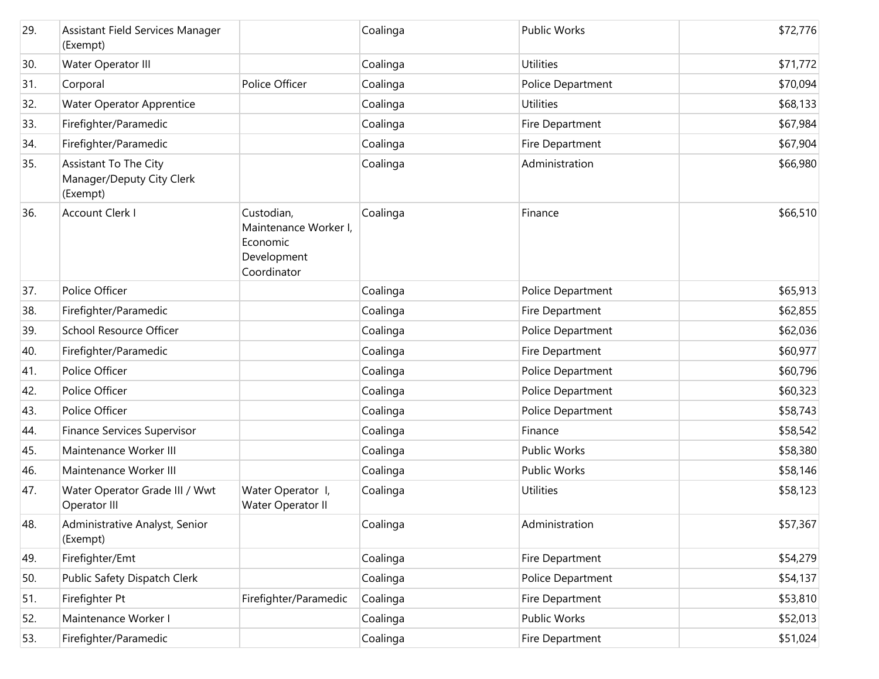| 29. | Assistant Field Services Manager<br>(Exempt)                          |                                                                               | Coalinga | <b>Public Works</b> | \$72,776 |
|-----|-----------------------------------------------------------------------|-------------------------------------------------------------------------------|----------|---------------------|----------|
| 30. | Water Operator III                                                    |                                                                               | Coalinga | <b>Utilities</b>    | \$71,772 |
| 31. | Corporal                                                              | Police Officer                                                                | Coalinga | Police Department   | \$70,094 |
| 32. | <b>Water Operator Apprentice</b>                                      |                                                                               | Coalinga | <b>Utilities</b>    | \$68,133 |
| 33. | Firefighter/Paramedic                                                 |                                                                               | Coalinga | Fire Department     | \$67,984 |
| 34. | Firefighter/Paramedic                                                 |                                                                               | Coalinga | Fire Department     | \$67,904 |
| 35. | <b>Assistant To The City</b><br>Manager/Deputy City Clerk<br>(Exempt) |                                                                               | Coalinga | Administration      | \$66,980 |
| 36. | <b>Account Clerk I</b>                                                | Custodian,<br>Maintenance Worker I,<br>Economic<br>Development<br>Coordinator | Coalinga | Finance             | \$66,510 |
| 37. | Police Officer                                                        |                                                                               | Coalinga | Police Department   | \$65,913 |
| 38. | Firefighter/Paramedic                                                 |                                                                               | Coalinga | Fire Department     | \$62,855 |
| 39. | School Resource Officer                                               |                                                                               | Coalinga | Police Department   | \$62,036 |
| 40. | Firefighter/Paramedic                                                 |                                                                               | Coalinga | Fire Department     | \$60,977 |
| 41. | Police Officer                                                        |                                                                               | Coalinga | Police Department   | \$60,796 |
| 42. | Police Officer                                                        |                                                                               | Coalinga | Police Department   | \$60,323 |
| 43. | Police Officer                                                        |                                                                               | Coalinga | Police Department   | \$58,743 |
| 44. | Finance Services Supervisor                                           |                                                                               | Coalinga | Finance             | \$58,542 |
| 45. | Maintenance Worker III                                                |                                                                               | Coalinga | <b>Public Works</b> | \$58,380 |
| 46. | Maintenance Worker III                                                |                                                                               | Coalinga | Public Works        | \$58,146 |
| 47. | Water Operator Grade III / Wwt<br>Operator III                        | Water Operator I,<br>Water Operator II                                        | Coalinga | <b>Utilities</b>    | \$58,123 |
| 48. | Administrative Analyst, Senior<br>(Exempt)                            |                                                                               | Coalinga | Administration      | \$57,367 |
| 49. | Firefighter/Emt                                                       |                                                                               | Coalinga | Fire Department     | \$54,279 |
| 50. | Public Safety Dispatch Clerk                                          |                                                                               | Coalinga | Police Department   | \$54,137 |
| 51. | Firefighter Pt                                                        | Firefighter/Paramedic                                                         | Coalinga | Fire Department     | \$53,810 |
| 52. | Maintenance Worker I                                                  |                                                                               | Coalinga | Public Works        | \$52,013 |
| 53. | Firefighter/Paramedic                                                 |                                                                               | Coalinga | Fire Department     | \$51,024 |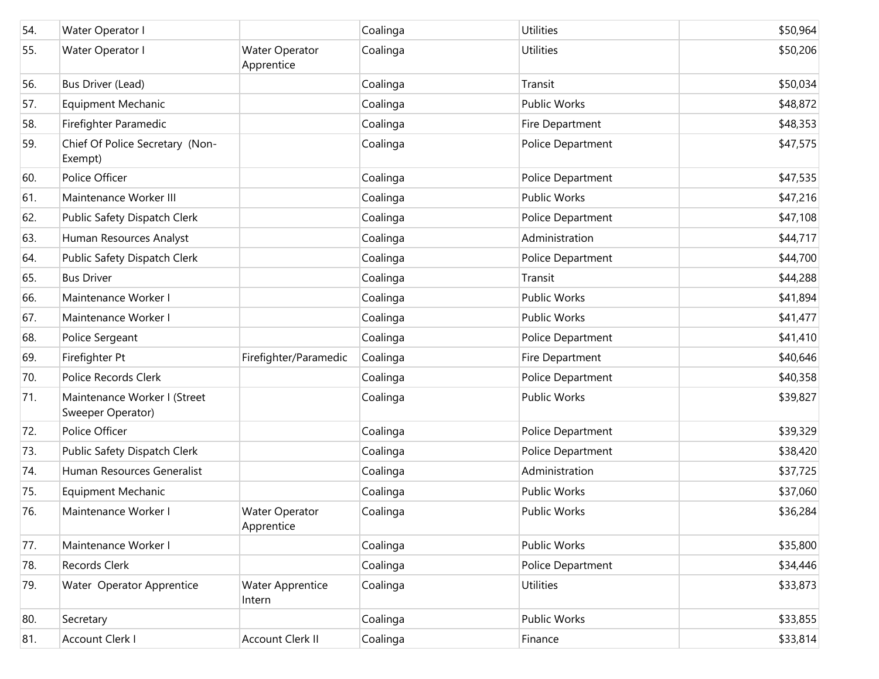| 54. | Water Operator I                                  |                                     | Coalinga | <b>Utilities</b>    | \$50,964 |
|-----|---------------------------------------------------|-------------------------------------|----------|---------------------|----------|
| 55. | Water Operator I                                  | Water Operator<br>Apprentice        | Coalinga | <b>Utilities</b>    | \$50,206 |
| 56. | Bus Driver (Lead)                                 |                                     | Coalinga | Transit             | \$50,034 |
| 57. | <b>Equipment Mechanic</b>                         |                                     | Coalinga | <b>Public Works</b> | \$48,872 |
| 58. | Firefighter Paramedic                             |                                     | Coalinga | Fire Department     | \$48,353 |
| 59. | Chief Of Police Secretary (Non-<br>Exempt)        |                                     | Coalinga | Police Department   | \$47,575 |
| 60. | Police Officer                                    |                                     | Coalinga | Police Department   | \$47,535 |
| 61. | Maintenance Worker III                            |                                     | Coalinga | <b>Public Works</b> | \$47,216 |
| 62. | Public Safety Dispatch Clerk                      |                                     | Coalinga | Police Department   | \$47,108 |
| 63. | Human Resources Analyst                           |                                     | Coalinga | Administration      | \$44,717 |
| 64. | Public Safety Dispatch Clerk                      |                                     | Coalinga | Police Department   | \$44,700 |
| 65. | <b>Bus Driver</b>                                 |                                     | Coalinga | Transit             | \$44,288 |
| 66. | Maintenance Worker I                              |                                     | Coalinga | <b>Public Works</b> | \$41,894 |
| 67. | Maintenance Worker I                              |                                     | Coalinga | <b>Public Works</b> | \$41,477 |
| 68. | Police Sergeant                                   |                                     | Coalinga | Police Department   | \$41,410 |
| 69. | Firefighter Pt                                    | Firefighter/Paramedic               | Coalinga | Fire Department     | \$40,646 |
| 70. | Police Records Clerk                              |                                     | Coalinga | Police Department   | \$40,358 |
| 71. | Maintenance Worker I (Street<br>Sweeper Operator) |                                     | Coalinga | <b>Public Works</b> | \$39,827 |
| 72. | Police Officer                                    |                                     | Coalinga | Police Department   | \$39,329 |
| 73. | Public Safety Dispatch Clerk                      |                                     | Coalinga | Police Department   | \$38,420 |
| 74. | Human Resources Generalist                        |                                     | Coalinga | Administration      | \$37,725 |
| 75. | <b>Equipment Mechanic</b>                         |                                     | Coalinga | <b>Public Works</b> | \$37,060 |
| 76. | Maintenance Worker I                              | <b>Water Operator</b><br>Apprentice | Coalinga | <b>Public Works</b> | \$36,284 |
| 77. | Maintenance Worker I                              |                                     | Coalinga | <b>Public Works</b> | \$35,800 |
| 78. | Records Clerk                                     |                                     | Coalinga | Police Department   | \$34,446 |
| 79. | Water Operator Apprentice                         | <b>Water Apprentice</b><br>Intern   | Coalinga | <b>Utilities</b>    | \$33,873 |
| 80. | Secretary                                         |                                     | Coalinga | Public Works        | \$33,855 |
| 81. | Account Clerk I                                   | Account Clerk II                    | Coalinga | Finance             | \$33,814 |